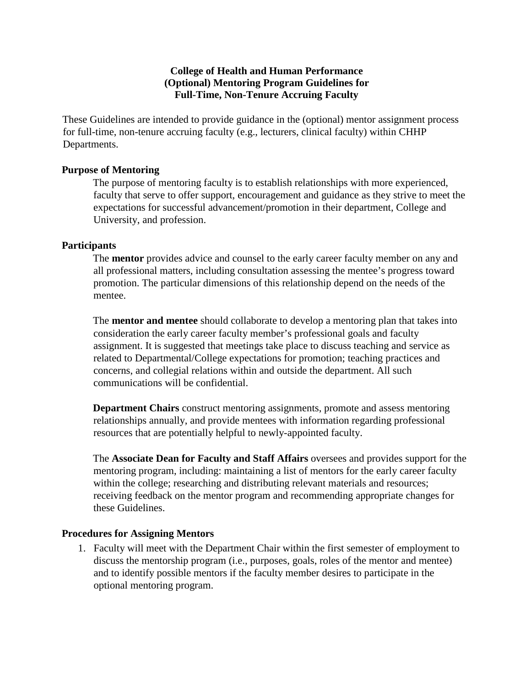## **College of Health and Human Performance (Optional) Mentoring Program Guidelines for Full-Time, Non-Tenure Accruing Faculty**

These Guidelines are intended to provide guidance in the (optional) mentor assignment process for full-time, non-tenure accruing faculty (e.g., lecturers, clinical faculty) within CHHP Departments.

## **Purpose of Mentoring**

The purpose of mentoring faculty is to establish relationships with more experienced, faculty that serve to offer support, encouragement and guidance as they strive to meet the expectations for successful advancement/promotion in their department, College and University, and profession.

## **Participants**

The **mentor** provides advice and counsel to the early career faculty member on any and all professional matters, including consultation assessing the mentee's progress toward promotion. The particular dimensions of this relationship depend on the needs of the mentee.

The **mentor and mentee** should collaborate to develop a mentoring plan that takes into consideration the early career faculty member's professional goals and faculty assignment. It is suggested that meetings take place to discuss teaching and service as related to Departmental/College expectations for promotion; teaching practices and concerns, and collegial relations within and outside the department. All such communications will be confidential.

**Department Chairs** construct mentoring assignments, promote and assess mentoring relationships annually, and provide mentees with information regarding professional resources that are potentially helpful to newly-appointed faculty.

The **Associate Dean for Faculty and Staff Affairs** oversees and provides support for the mentoring program, including: maintaining a list of mentors for the early career faculty within the college; researching and distributing relevant materials and resources; receiving feedback on the mentor program and recommending appropriate changes for these Guidelines.

## **Procedures for Assigning Mentors**

1. Faculty will meet with the Department Chair within the first semester of employment to discuss the mentorship program (i.e., purposes, goals, roles of the mentor and mentee) and to identify possible mentors if the faculty member desires to participate in the optional mentoring program.